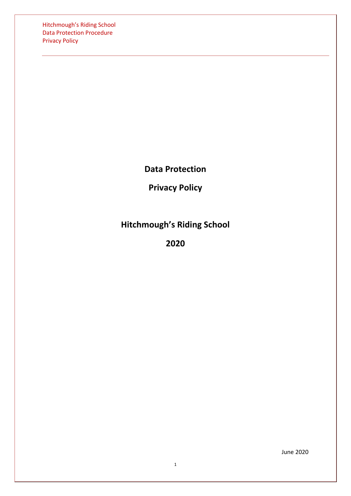Hitchmough's Riding School Data Protection Procedure Privacy Policy

**Data Protection**

**Privacy Policy**

**Hitchmough's Riding School**

**2020**

June 2020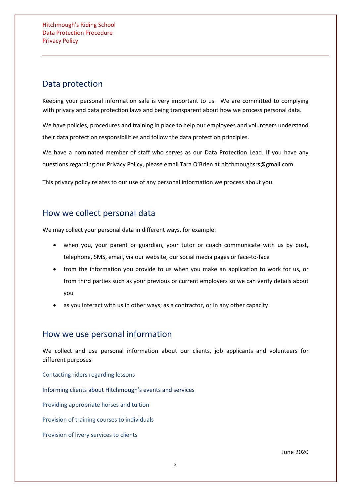# Data protection

Keeping your personal information safe is very important to us. We are committed to complying with privacy and data protection laws and being transparent about how we process personal data.

We have policies, procedures and training in place to help our employees and volunteers understand their data protection responsibilities and follow the data protection principles.

We have a nominated member of staff who serves as our Data Protection Lead. If you have any questions regarding our Privacy Policy, please email Tara O'Brien at hitchmoughsrs@gmail.com.

This privacy policy relates to our use of any personal information we process about you.

# How we collect personal data

We may collect your personal data in different ways, for example:

- when you, your parent or guardian, your tutor or coach communicate with us by post, telephone, SMS, email, via our website, our social media pages or face-to-face
- from the information you provide to us when you make an application to work for us, or from third parties such as your previous or current employers so we can verify details about you
- as you interact with us in other ways; as a contractor, or in any other capacity

# How we use personal information

We collect and use personal information about our clients, job applicants and volunteers for different purposes.

Contacting riders regarding lessons

Informing clients about Hitchmough's events and services

Providing appropriate horses and tuition

Provision of training courses to individuals

Provision of livery services to clients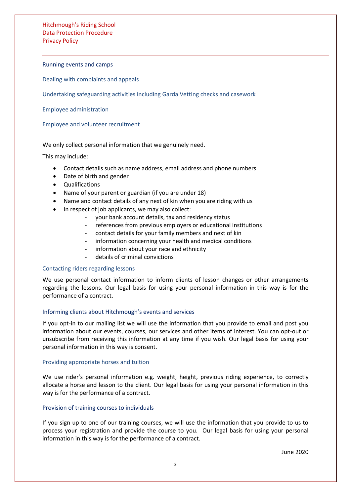### Running events and camps

[Dealing with complaints and appeals](#page-3-0)

[Undertaking safeguarding activities including Garda Vetting](#page-3-1) checks and casework

[Employee administration](#page-3-2)

<span id="page-2-0"></span>[Employee and volunteer recruitment](#page-2-0)

## We only collect personal information that we genuinely need.

This may include:

- Contact details such as name address, email address and phone numbers
- Date of birth and gender
- Qualifications
- Name of your parent or guardian (if you are under 18)
- Name and contact details of any next of kin when you are riding with us
- In respect of job applicants, we may also collect:
	- your bank account details, tax and residency status
	- references from previous employers or educational institutions
	- contact details for your family members and next of kin
	- information concerning your health and medical conditions
	- information about your race and ethnicity
	- details of criminal convictions

## Contacting riders regarding lessons

We use personal contact information to inform clients of lesson changes or other arrangements regarding the lessons. Our legal basis for using your personal information in this way is for the performance of a contract.

### Informing clients about Hitchmough's events and services

If you opt-in to our mailing list we will use the information that you provide to email and post you information about our events, courses, our services and other items of interest. You can opt-out or unsubscribe from receiving this information at any time if you wish. Our legal basis for using your personal information in this way is consent.

### Providing appropriate horses and tuition

We use rider's personal information e.g. weight, height, previous riding experience, to correctly allocate a horse and lesson to the client. Our legal basis for using your personal information in this way is for the performance of a contract.

### Provision of training courses to individuals

If you sign up to one of our training courses, we will use the information that you provide to us to process your registration and provide the course to you. Our legal basis for using your personal information in this way is for the performance of a contract.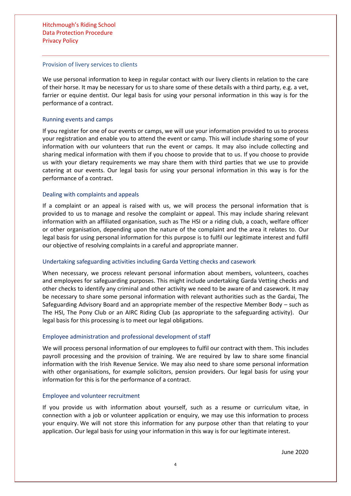#### Provision of livery services to clients

We use personal information to keep in regular contact with our livery clients in relation to the care of their horse. It may be necessary for us to share some of these details with a third party, e.g. a vet, farrier or equine dentist. Our legal basis for using your personal information in this way is for the performance of a contract.

### Running events and camps

If you register for one of our events or camps, we will use your information provided to us to process your registration and enable you to attend the event or camp. This will include sharing some of your information with our volunteers that run the event or camps. It may also include collecting and sharing medical information with them if you choose to provide that to us. If you choose to provide us with your dietary requirements we may share them with third parties that we use to provide catering at our events. Our legal basis for using your personal information in this way is for the performance of a contract.

## <span id="page-3-0"></span>Dealing with complaints and appeals

If a complaint or an appeal is raised with us, we will process the personal information that is provided to us to manage and resolve the complaint or appeal. This may include sharing relevant information with an affiliated organisation, such as The HSI or a riding club, a coach, welfare officer or other organisation, depending upon the nature of the complaint and the area it relates to. Our legal basis for using personal information for this purpose is to fulfil our legitimate interest and fulfil our objective of resolving complaints in a careful and appropriate manner.

## <span id="page-3-1"></span>Undertaking safeguarding activities including Garda Vetting checks and casework

When necessary, we process relevant personal information about members, volunteers, coaches and employees for safeguarding purposes. This might include undertaking Garda Vetting checks and other checks to identify any criminal and other activity we need to be aware of and casework. It may be necessary to share some personal information with relevant authorities such as the Gardai, The Safeguarding Advisory Board and an appropriate member of the respective Member Body – such as The HSI, The Pony Club or an AIRC Riding Club (as appropriate to the safeguarding activity). Our legal basis for this processing is to meet our legal obligations.

### <span id="page-3-2"></span>Employee administration and professional development of staff

We will process personal information of our employees to fulfil our contract with them. This includes payroll processing and the provision of training. We are required by law to share some financial information with the Irish Revenue Service. We may also need to share some personal information with other organisations, for example solicitors, pension providers. Our legal basis for using your information for this is for the performance of a contract.

### Employee and volunteer recruitment

If you provide us with information about yourself, such as a resume or curriculum vitae, in connection with a job or volunteer application or enquiry, we may use this information to process your enquiry. We will not store this information for any purpose other than that relating to your application. Our legal basis for using your information in this way is for our legitimate interest.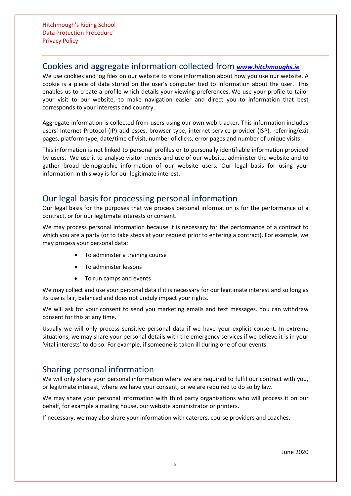## Cookies and aggregate information collected from *[www.hitchmoughs.ie](http://www.hitchmoughs.ie/)*

We use cookies and log files on our website to store information about how you use our website. A cookie is a piece of data stored on the user's computer tied to information about the user. This enables us to create a profile which details your viewing preferences. We use your profile to tailor your visit to our website, to make navigation easier and direct you to information that best corresponds to your interests and country.

Aggregate information is collected from users using our own web tracker. This information includes users' Internet Protocol (IP) addresses, browser type, internet service provider (ISP), referring/exit pages, platform type, date/time of visit, number of clicks, error pages and number of unique visits.

This information is not linked to personal profiles or to personally identifiable information provided by users. We use it to analyse visitor trends and use of our website, administer the website and to gather broad demographic information of our website users. Our legal basis for using your information in this way is for our legitimate interest.

## Our legal basis for processing personal information

Our legal basis for the purposes that we process personal information is for the performance of a contract, or for our legitimate interests or consent.

We may process personal information because it is necessary for the performance of a contract to which you are a party (or to take steps at your request prior to entering a contract). For example, we may process your personal data:

- To administer a training course
- To administer lessons
- To run camps and events

We may collect and use your personal data if it is necessary for our legitimate interest and so long as its use is fair, balanced and does not unduly impact your rights.

We will ask for your consent to send you marketing emails and text messages. You can withdraw consent for this at any time.

Usually we will only process sensitive personal data if we have your explicit consent. In extreme situations, we may share your personal details with the emergency services if we believe it is in your 'vital interests' to do so. For example, if someone is taken ill during one of our events.

# Sharing personal information

We will only share your personal information where we are required to fulfil our contract with you, or legitimate interest, where we have your consent, or we are required to do so by law.

We may share your personal information with third party organisations who will process it on our behalf, for example a mailing house, our website administrator or printers.

If necessary, we may also share your information with caterers, course providers and coaches.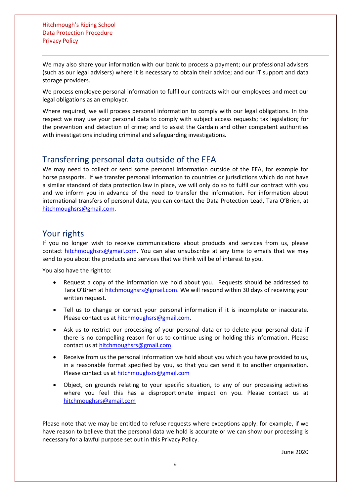We may also share your information with our bank to process a payment; our professional advisers (such as our legal advisers) where it is necessary to obtain their advice; and our IT support and data storage providers.

We process employee personal information to fulfil our contracts with our employees and meet our legal obligations as an employer.

Where required, we will process personal information to comply with our legal obligations. In this respect we may use your personal data to comply with subject access requests; tax legislation; for the prevention and detection of crime; and to assist the Gardain and other competent authorities with investigations including criminal and safeguarding investigations.

# Transferring personal data outside of the EEA

We may need to collect or send some personal information outside of the EEA, for example for horse passports. If we transfer personal information to countries or jurisdictions which do not have a similar standard of data protection law in place, we will only do so to fulfil our contract with you and we inform you in advance of the need to transfer the information. For information about international transfers of personal data, you can contact the Data Protection Lead, Tara O'Brien, at [hitchmoughsrs@gmail.com.](mailto:hitchmoughsrs@gmail.com)

## Your rights

If you no longer wish to receive communications about products and services from us, please contact [hitchmoughsrs@gmail.com.](mailto:hitchmoughsrs@gmail.com) You can also unsubscribe at any time to emails that we may send to you about the products and services that we think will be of interest to you.

You also have the right to:

- Request a copy of the information we hold about you. Requests should be addressed to Tara O'Brien at [hitchmoughsrs@gmail.com.](mailto:hitchmoughsrs@gmail.com) We will respond within 30 days of receiving your written request.
- Tell us to change or correct your personal information if it is incomplete or inaccurate. Please contact us at [hitchmoughsrs@gmail.com.](mailto:hitchmoughsrs@gmail.com)
- Ask us to restrict our processing of your personal data or to delete your personal data if there is no compelling reason for us to continue using or holding this information. Please contact us at [hitchmoughsrs@gmail.com.](mailto:hitchmoughsrs@gmail.com)
- Receive from us the personal information we hold about you which you have provided to us, in a reasonable format specified by you, so that you can send it to another organisation. Please contact us at [hitchmoughsrs@gmail.com](mailto:hitchmoughsrs@gmail.com)
- Object, on grounds relating to your specific situation, to any of our processing activities where you feel this has a disproportionate impact on you. Please contact us at [hitchmoughsrs@gmail.com](mailto:hitchmoughsrs@gmail.com)

Please note that we may be entitled to refuse requests where exceptions apply: for example, if we have reason to believe that the personal data we hold is accurate or we can show our processing is necessary for a lawful purpose set out in this Privacy Policy.